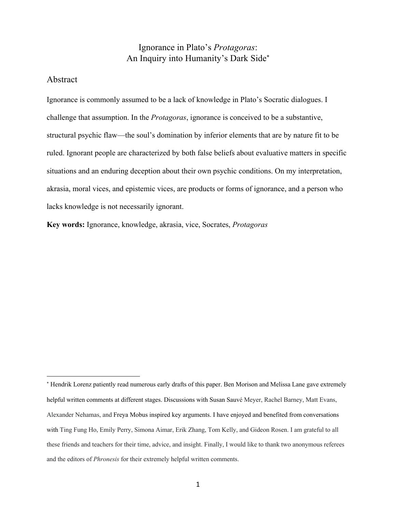# Ignorance in Plato's *Protagoras*: An Inquiry into Humanity's Dark Side\*

### Abstract

Ignorance is commonly assumed to be a lack of knowledge in Plato's Socratic dialogues. I challenge that assumption. In the *Protagoras*, ignorance is conceived to be a substantive, structural psychic flaw—the soul's domination by inferior elements that are by nature fit to be ruled. Ignorant people are characterized by both false beliefs about evaluative matters in specific situations and an enduring deception about their own psychic conditions. On my interpretation, akrasia, moral vices, and epistemic vices, are products or forms of ignorance, and a person who lacks knowledge is not necessarily ignorant.

**Key words:** Ignorance, knowledge, akrasia, vice, Socrates, *Protagoras*

<sup>\*</sup> Hendrik Lorenz patiently read numerous early drafts of this paper. Ben Morison and Melissa Lane gave extremely helpful written comments at different stages. Discussions with Susan Sauvé Meyer, Rachel Barney, Matt Evans, Alexander Nehamas, and Freya Mobus inspired key arguments. I have enjoyed and benefited from conversations with Ting Fung Ho, Emily Perry, Simona Aimar, Erik Zhang, Tom Kelly, and Gideon Rosen. I am grateful to all these friends and teachers for their time, advice, and insight. Finally, I would like to thank two anonymous referees and the editors of *Phronesis* for their extremely helpful written comments.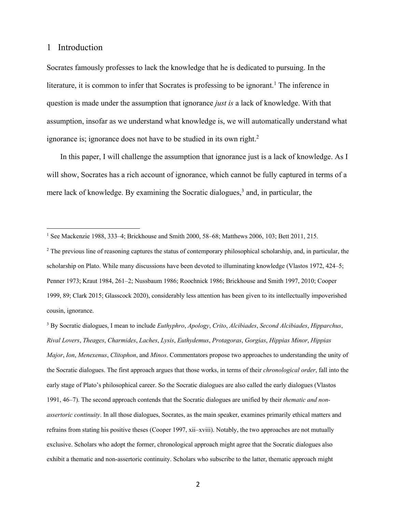### 1 Introduction

Socrates famously professes to lack the knowledge that he is dedicated to pursuing. In the literature, it is common to infer that Socrates is professing to be ignorant.<sup>1</sup> The inference in question is made under the assumption that ignorance *just is* a lack of knowledge. With that assumption, insofar as we understand what knowledge is, we will automatically understand what ignorance is; ignorance does not have to be studied in its own right.<sup>2</sup>

 In this paper, I will challenge the assumption that ignorance just is a lack of knowledge. As I will show, Socrates has a rich account of ignorance, which cannot be fully captured in terms of a mere lack of knowledge. By examining the Socratic dialogues, <sup>3</sup> and, in particular, the

<sup>&</sup>lt;sup>1</sup> See Mackenzie 1988, 333–4; Brickhouse and Smith 2000, 58–68; Matthews 2006, 103; Bett 2011, 215.

<sup>&</sup>lt;sup>2</sup> The previous line of reasoning captures the status of contemporary philosophical scholarship, and, in particular, the scholarship on Plato. While many discussions have been devoted to illuminating knowledge (Vlastos 1972, 424–5; Penner 1973; Kraut 1984, 261–2; Nussbaum 1986; Roochnick 1986; Brickhouse and Smith 1997, 2010; Cooper 1999, 89; Clark 2015; Glasscock 2020), considerably less attention has been given to its intellectually impoverished cousin, ignorance.

<sup>3</sup> By Socratic dialogues, I mean to include *Euthyphro*, *Apology*, *Crito*, *Alcibiades*, *Second Alcibiades*, *Hipparchus*, *Rival Lovers*, *Theages*, *Charmides*, *Laches*, *Lysis*, *Euthydemus*, *Protagoras*, *Gorgias*, *Hippias Minor*, *Hippias Major*, *Ion*, *Menexenus*, *Clitophon*, and *Minos*. Commentators propose two approaches to understanding the unity of the Socratic dialogues. The first approach argues that those works, in terms of their *chronological order*, fall into the early stage of Plato's philosophical career. So the Socratic dialogues are also called the early dialogues (Vlastos 1991, 46–7). The second approach contends that the Socratic dialogues are unified by their *thematic and nonassertoric continuity*. In all those dialogues, Socrates, as the main speaker, examines primarily ethical matters and refrains from stating his positive theses (Cooper 1997, xii–xviii). Notably, the two approaches are not mutually exclusive. Scholars who adopt the former, chronological approach might agree that the Socratic dialogues also exhibit a thematic and non-assertoric continuity. Scholars who subscribe to the latter, thematic approach might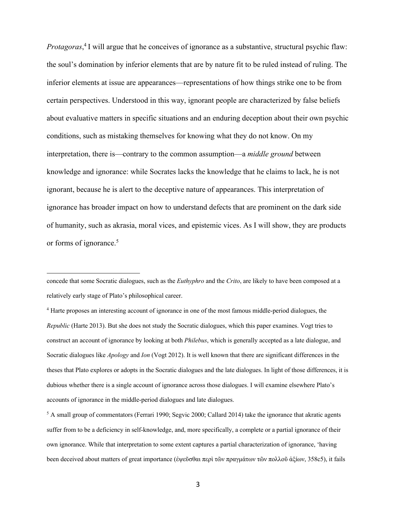*Protagoras*, <sup>4</sup> I will argue that he conceives of ignorance as a substantive, structural psychic flaw: the soul's domination by inferior elements that are by nature fit to be ruled instead of ruling. The inferior elements at issue are appearances—representations of how things strike one to be from certain perspectives. Understood in this way, ignorant people are characterized by false beliefs about evaluative matters in specific situations and an enduring deception about their own psychic conditions, such as mistaking themselves for knowing what they do not know. On my interpretation, there is—contrary to the common assumption—a *middle ground* between knowledge and ignorance: while Socrates lacks the knowledge that he claims to lack, he is not ignorant, because he is alert to the deceptive nature of appearances. This interpretation of ignorance has broader impact on how to understand defects that are prominent on the dark side of humanity, such as akrasia, moral vices, and epistemic vices. As I will show, they are products or forms of ignorance. 5

concede that some Socratic dialogues, such as the *Euthyphro* and the *Crito*, are likely to have been composed at a relatively early stage of Plato's philosophical career.

<sup>4</sup> Harte proposes an interesting account of ignorance in one of the most famous middle-period dialogues, the *Republic* (Harte 2013). But she does not study the Socratic dialogues, which this paper examines. Vogt tries to construct an account of ignorance by looking at both *Philebus*, which is generally accepted as a late dialogue, and Socratic dialogues like *Apology* and *Ion* (Vogt 2012). It is well known that there are significant differences in the theses that Plato explores or adopts in the Socratic dialogues and the late dialogues. In light of those differences, it is dubious whether there is a single account of ignorance across those dialogues. I will examine elsewhere Plato's accounts of ignorance in the middle-period dialogues and late dialogues.

<sup>&</sup>lt;sup>5</sup> A small group of commentators (Ferrari 1990; Segvic 2000; Callard 2014) take the ignorance that akratic agents suffer from to be a deficiency in self-knowledge, and, more specifically, a complete or a partial ignorance of their own ignorance. While that interpretation to some extent captures a partial characterization of ignorance, 'having been deceived about matters of great importance (ἐψεῦσθαι περὶ τῶν πραγμάτων τῶν πολλοῦ ἀξίων, 358c5), it fails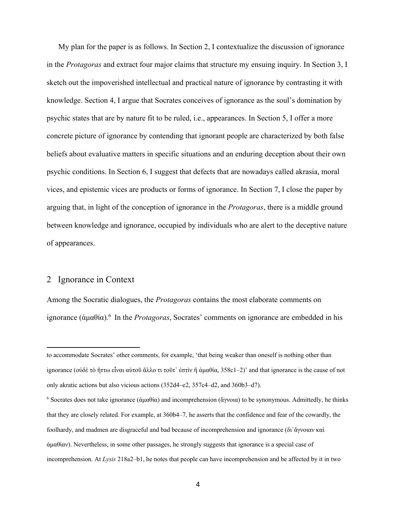My plan for the paper is as follows. In Section 2, I contextualize the discussion of ignorance in the *Protagoras* and extract four major claims that structure my ensuing inquiry. In Section 3, I sketch out the impoverished intellectual and practical nature of ignorance by contrasting it with knowledge. Section 4, I argue that Socrates conceives of ignorance as the soul's domination by psychic states that are by nature fit to be ruled, i.e., appearances. In Section 5, I offer a more concrete picture of ignorance by contending that ignorant people are characterized by both false beliefs about evaluative matters in specific situations and an enduring deception about their own psychic conditions. In Section 6, I suggest that defects that are nowadays called akrasia, moral vices, and epistemic vices are products or forms of ignorance. In Section 7, I close the paper by arguing that, in light of the conception of ignorance in the *Protagoras*, there is a middle ground between knowledge and ignorance, occupied by individuals who are alert to the deceptive nature of appearances.

#### 2 Ignorance in Context

Among the Socratic dialogues, the *Protagoras* contains the most elaborate comments on ignorance (ἀμαθία). <sup>6</sup> In the *Protagoras*, Socrates' comments on ignorance are embedded in his

to accommodate Socrates' other comments, for example, 'that being weaker than oneself is nothing other than ignorance (οὐδὲ τὸ ἥττω εἶναι αὑτοῦ ἄλλο τι τοῦτ᾽ ἐστὶν ἢ ἀμαθία, 358c1–2)' and that ignorance is the cause of not only akratic actions but also vicious actions (352d4–e2, 357c4–d2, and 360b3–d7).

<sup>6</sup> Socrates does not take ignorance (ἀμαθία) and incomprehension (ἄγνοια) to be synonymous. Admittedly, he thinks that they are closely related. For example, at 360b4–7, he asserts that the confidence and fear of the cowardly, the foolhardy, and madmen are disgraceful and bad because of incomprehension and ignorance (δι᾽ἄγνοιαν καὶ ἀμαθίαν). Nevertheless, in some other passages, he strongly suggests that ignorance is a special case of incomprehension. At *Lysis* 218a2–b1, he notes that people can have incomprehension and be affected by it in two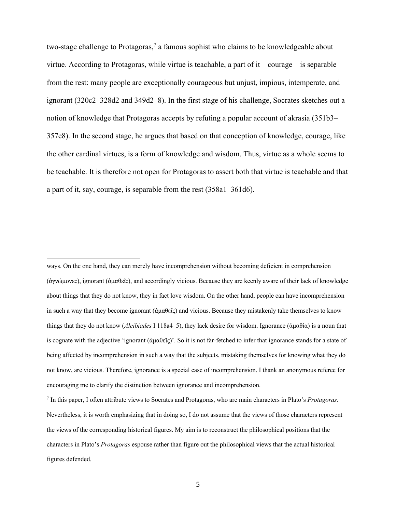two-stage challenge to Protagoras,<sup>7</sup> a famous sophist who claims to be knowledgeable about virtue. According to Protagoras, while virtue is teachable, a part of it—courage—is separable from the rest: many people are exceptionally courageous but unjust, impious, intemperate, and ignorant (320c2–328d2 and 349d2–8). In the first stage of his challenge, Socrates sketches out a notion of knowledge that Protagoras accepts by refuting a popular account of akrasia (351b3– 357e8). In the second stage, he argues that based on that conception of knowledge, courage, like the other cardinal virtues, is a form of knowledge and wisdom. Thus, virtue as a whole seems to be teachable. It is therefore not open for Protagoras to assert both that virtue is teachable and that a part of it, say, courage, is separable from the rest (358a1–361d6).

ways. On the one hand, they can merely have incomprehension without becoming deficient in comprehension (ἀγνώμονες), ignorant (ἀμαθεῖς), and accordingly vicious. Because they are keenly aware of their lack of knowledge about things that they do not know, they in fact love wisdom. On the other hand, people can have incomprehension in such a way that they become ignorant (ἀμαθεῖς) and vicious. Because they mistakenly take themselves to know things that they do not know (*Alcibiades* I 118a4–5), they lack desire for wisdom. Ignorance (ἀμαθία) is a noun that is cognate with the adjective 'ignorant  $(αμαθεΐς)'$ . So it is not far-fetched to infer that ignorance stands for a state of being affected by incomprehension in such a way that the subjects, mistaking themselves for knowing what they do not know, are vicious. Therefore, ignorance is a special case of incomprehension. I thank an anonymous referee for encouraging me to clarify the distinction between ignorance and incomprehension.

<sup>7</sup> In this paper, I often attribute views to Socrates and Protagoras, who are main characters in Plato's *Protagoras*. Nevertheless, it is worth emphasizing that in doing so, I do not assume that the views of those characters represent the views of the corresponding historical figures. My aim is to reconstruct the philosophical positions that the characters in Plato's *Protagoras* espouse rather than figure out the philosophical views that the actual historical figures defended.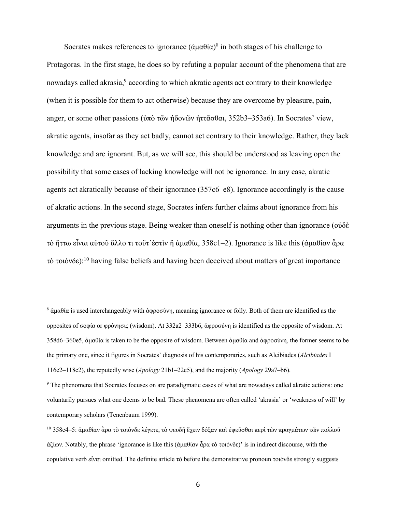Socrates makes references to ignorance  $(\alpha \mu \alpha \theta \alpha)^8$  in both stages of his challenge to Protagoras. In the first stage, he does so by refuting a popular account of the phenomena that are nowadays called akrasia,<sup>9</sup> according to which akratic agents act contrary to their knowledge (when it is possible for them to act otherwise) because they are overcome by pleasure, pain, anger, or some other passions (ὑπὸ τῶν ἡδονῶν ἡττᾶσθαι, 352b3–353a6). In Socrates' view, akratic agents, insofar as they act badly, cannot act contrary to their knowledge. Rather, they lack knowledge and are ignorant. But, as we will see, this should be understood as leaving open the possibility that some cases of lacking knowledge will not be ignorance. In any case, akratic agents act akratically because of their ignorance (357c6–e8). Ignorance accordingly is the cause of akratic actions. In the second stage, Socrates infers further claims about ignorance from his arguments in the previous stage. Being weaker than oneself is nothing other than ignorance (οὐδὲ τὸ ἥττω εἶναι αὑτοῦ ἄλλο τι τοῦτ᾽ἐστὶν ἢ ἀμαθία, 358c1–2). Ignorance is like this (ἀμαθίαν ἆρα τὸ τοιόνδε):<sup>10</sup> having false beliefs and having been deceived about matters of great importance

<sup>8</sup> ἀμαθία is used interchangeably with ἀφροσύνη, meaning ignorance or folly. Both of them are identified as the opposites of σοφία or φρόνησις (wisdom). At 332a2–333b6, ἀφροσύνη is identified as the opposite of wisdom. At 358d6–360e5, ἀμαθία is taken to be the opposite of wisdom. Between ἀμαθία and ἀφροσύνη, the former seems to be the primary one, since it figures in Socrates' diagnosis of his contemporaries, such as Alcibiades (*Alcibiades* I 116e2–118c2), the reputedly wise (*Apology* 21b1–22e5), and the majority (*Apology* 29a7–b6).

<sup>9</sup> The phenomena that Socrates focuses on are paradigmatic cases of what are nowadays called akratic actions: one voluntarily pursues what one deems to be bad. These phenomena are often called 'akrasia' or 'weakness of will' by contemporary scholars (Tenenbaum 1999).

<sup>10</sup> 358c4–5: ἀμαθίαν ἆρα τὸ τοιόνδε λέγετε, τὸ ψευδῆ ἔχειν δόξαν καὶ ἐψεῦσθαι περὶ τῶν πραγμάτων τῶν πολλοῦ ἀξίων. Notably, the phrase 'ignorance is like this (ἀμαθίαν ἆρα τὸ τοιόνδε)' is in indirect discourse, with the copulative verb εἶναι omitted. The definite article τό before the demonstrative pronoun τοιόνδε strongly suggests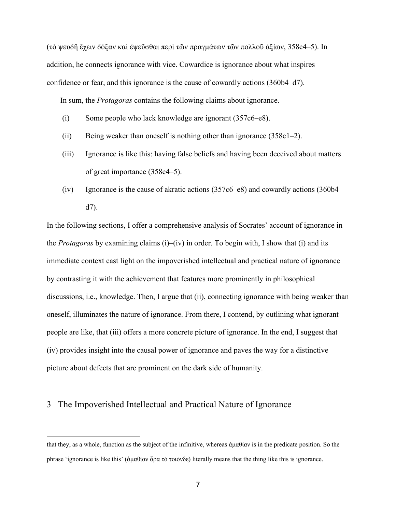(τὸ ψευδῆ ἔχειν δόξαν καὶ ἐψεῦσθαι περὶ τῶν πραγμάτων τῶν πολλοῦ ἀξίων, 358c4–5). In addition, he connects ignorance with vice. Cowardice is ignorance about what inspires confidence or fear, and this ignorance is the cause of cowardly actions (360b4–d7).

In sum, the *Protagoras* contains the following claims about ignorance.

- (i) Some people who lack knowledge are ignorant (357c6–e8).
- (ii) Being weaker than oneself is nothing other than ignorance  $(358c1-2)$ .
- (iii) Ignorance is like this: having false beliefs and having been deceived about matters of great importance (358c4–5).
- (iv) Ignorance is the cause of akratic actions  $(357c6–e8)$  and cowardly actions  $(360b4–e8)$ d7).

In the following sections, I offer a comprehensive analysis of Socrates' account of ignorance in the *Protagoras* by examining claims (i)–(iv) in order. To begin with, I show that (i) and its immediate context cast light on the impoverished intellectual and practical nature of ignorance by contrasting it with the achievement that features more prominently in philosophical discussions, i.e., knowledge. Then, I argue that (ii), connecting ignorance with being weaker than oneself, illuminates the nature of ignorance. From there, I contend, by outlining what ignorant people are like, that (iii) offers a more concrete picture of ignorance. In the end, I suggest that (iv) provides insight into the causal power of ignorance and paves the way for a distinctive picture about defects that are prominent on the dark side of humanity.

## 3 The Impoverished Intellectual and Practical Nature of Ignorance

that they, as a whole, function as the subject of the infinitive, whereas ἀμαθίαν is in the predicate position. So the phrase 'ignorance is like this' (ἀμαθίαν ἆρα τὸ τοιόνδε) literally means that the thing like this is ignorance.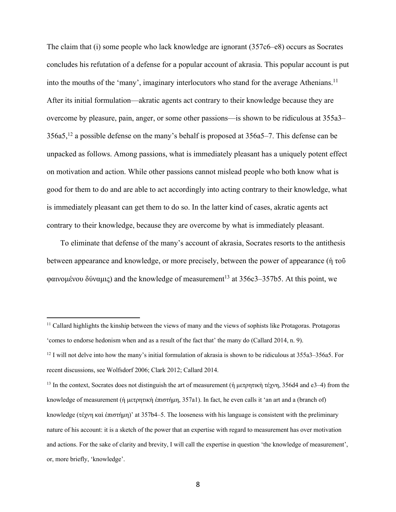The claim that (i) some people who lack knowledge are ignorant (357c6–e8) occurs as Socrates concludes his refutation of a defense for a popular account of akrasia. This popular account is put into the mouths of the 'many', imaginary interlocutors who stand for the average Athenians.<sup>11</sup> After its initial formulation—akratic agents act contrary to their knowledge because they are overcome by pleasure, pain, anger, or some other passions—is shown to be ridiculous at 355a3–  $356a5$ ,<sup>12</sup> a possible defense on the many's behalf is proposed at  $356a5-7$ . This defense can be unpacked as follows. Among passions, what is immediately pleasant has a uniquely potent effect on motivation and action. While other passions cannot mislead people who both know what is good for them to do and are able to act accordingly into acting contrary to their knowledge, what is immediately pleasant can get them to do so. In the latter kind of cases, akratic agents act contrary to their knowledge, because they are overcome by what is immediately pleasant.

 To eliminate that defense of the many's account of akrasia, Socrates resorts to the antithesis between appearance and knowledge, or more precisely, between the power of appearance (ἡ τοῦ φαινομένου δύναμις) and the knowledge of measurement<sup>13</sup> at  $356c3-357b5$ . At this point, we

<sup>&</sup>lt;sup>11</sup> Callard highlights the kinship between the views of many and the views of sophists like Protagoras. Protagoras 'comes to endorse hedonism when and as a result of the fact that' the many do (Callard 2014, n. 9).

 $12$  I will not delve into how the many's initial formulation of akrasia is shown to be ridiculous at 355a3–356a5. For recent discussions, see Wolfsdorf 2006; Clark 2012; Callard 2014.

<sup>13</sup> In the context, Socrates does not distinguish the art of measurement (ἡ μετρητικὴ τέχνη, 356d4 and e3–4) from the knowledge of measurement (ἡ μετρητικὴ ἐπιστήμη, 357a1). In fact, he even calls it 'an art and a (branch of) knowledge (τέχνη καὶ ἐπιστήμη)' at 357b4–5. The looseness with his language is consistent with the preliminary nature of his account: it is a sketch of the power that an expertise with regard to measurement has over motivation and actions. For the sake of clarity and brevity, I will call the expertise in question 'the knowledge of measurement', or, more briefly, 'knowledge'.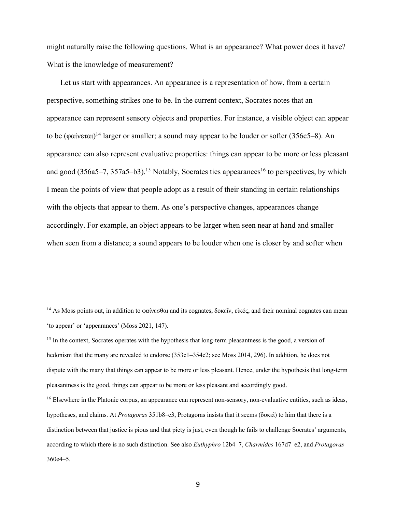might naturally raise the following questions. What is an appearance? What power does it have? What is the knowledge of measurement?

Let us start with appearances. An appearance is a representation of how, from a certain perspective, something strikes one to be. In the current context, Socrates notes that an appearance can represent sensory objects and properties. For instance, a visible object can appear to be (φαίνεται)<sup>14</sup> larger or smaller; a sound may appear to be louder or softer (356c5–8). An appearance can also represent evaluative properties: things can appear to be more or less pleasant and good (356a5–7, 357a5–b3).<sup>15</sup> Notably, Socrates ties appearances<sup>16</sup> to perspectives, by which I mean the points of view that people adopt as a result of their standing in certain relationships with the objects that appear to them. As one's perspective changes, appearances change accordingly. For example, an object appears to be larger when seen near at hand and smaller when seen from a distance; a sound appears to be louder when one is closer by and softer when

<sup>&</sup>lt;sup>14</sup> As Moss points out, in addition to φαίνεσθαι and its cognates, δοκεῖν, εἰκός, and their nominal cognates can mean 'to appear' or 'appearances' (Moss 2021, 147).

<sup>&</sup>lt;sup>15</sup> In the context, Socrates operates with the hypothesis that long-term pleasantness is the good, a version of hedonism that the many are revealed to endorse (353c1–354e2; see Moss 2014, 296). In addition, he does not dispute with the many that things can appear to be more or less pleasant. Hence, under the hypothesis that long-term pleasantness is the good, things can appear to be more or less pleasant and accordingly good.

<sup>&</sup>lt;sup>16</sup> Elsewhere in the Platonic corpus, an appearance can represent non-sensory, non-evaluative entities, such as ideas, hypotheses, and claims. At *Protagoras* 351b8–c3, Protagoras insists that it seems (δοκεῖ) to him that there is a distinction between that justice is pious and that piety is just, even though he fails to challenge Socrates' arguments, according to which there is no such distinction. See also *Euthyphro* 12b4–7, *Charmides* 167d7–e2, and *Protagoras* 360e4–5.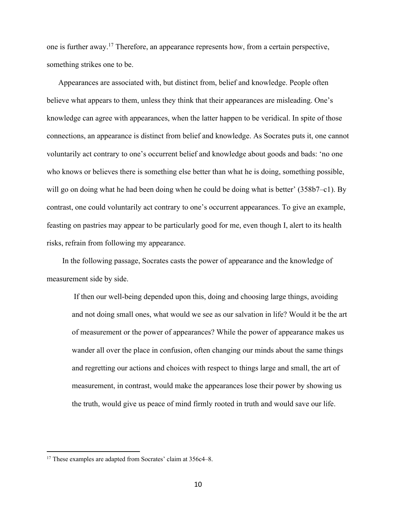one is further away.17 Therefore, an appearance represents how, from a certain perspective, something strikes one to be.

 Appearances are associated with, but distinct from, belief and knowledge. People often believe what appears to them, unless they think that their appearances are misleading. One's knowledge can agree with appearances, when the latter happen to be veridical. In spite of those connections, an appearance is distinct from belief and knowledge. As Socrates puts it, one cannot voluntarily act contrary to one's occurrent belief and knowledge about goods and bads: 'no one who knows or believes there is something else better than what he is doing, something possible, will go on doing what he had been doing when he could be doing what is better' (358b7–c1). By contrast, one could voluntarily act contrary to one's occurrent appearances. To give an example, feasting on pastries may appear to be particularly good for me, even though I, alert to its health risks, refrain from following my appearance.

 In the following passage, Socrates casts the power of appearance and the knowledge of measurement side by side.

 If then our well-being depended upon this, doing and choosing large things, avoiding and not doing small ones, what would we see as our salvation in life? Would it be the art of measurement or the power of appearances? While the power of appearance makes us wander all over the place in confusion, often changing our minds about the same things and regretting our actions and choices with respect to things large and small, the art of measurement, in contrast, would make the appearances lose their power by showing us the truth, would give us peace of mind firmly rooted in truth and would save our life.

<sup>&</sup>lt;sup>17</sup> These examples are adapted from Socrates' claim at 356c4–8.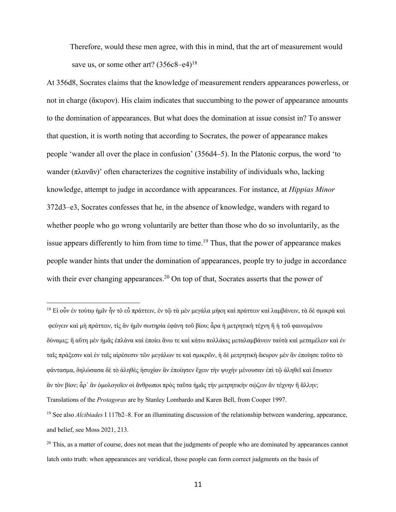Therefore, would these men agree, with this in mind, that the art of measurement would save us, or some other art?  $(356c8–e4)^{18}$ 

At 356d8, Socrates claims that the knowledge of measurement renders appearances powerless, or not in charge (ἄκυρον). His claim indicates that succumbing to the power of appearance amounts to the domination of appearances. But what does the domination at issue consist in? To answer that question, it is worth noting that according to Socrates, the power of appearance makes people 'wander all over the place in confusion' (356d4–5). In the Platonic corpus, the word 'to wander  $(\pi \lambda \alpha v \tilde{\alpha} v)$ ' often characterizes the cognitive instability of individuals who, lacking knowledge, attempt to judge in accordance with appearances. For instance, at *Hippias Minor* 372d3–e3, Socrates confesses that he, in the absence of knowledge, wanders with regard to whether people who go wrong voluntarily are better than those who do so involuntarily, as the issue appears differently to him from time to time.<sup>19</sup> Thus, that the power of appearance makes people wander hints that under the domination of appearances, people try to judge in accordance with their ever changing appearances.<sup>20</sup> On top of that, Socrates asserts that the power of

<sup>18</sup> Εἰ οὖν ἐν τούτῳ ἡμῖν ἦν τὸ εὖ πράττειν, ἐν τῷ τὰ μὲν μεγάλα μήκη καὶ πράττειν καὶ λαμβάνειν, τὰ δὲ σμικρὰ καὶ φεύγειν καὶ μὴ πράττειν, τίς ἂν ἡμῖν σωτηρία ἐφάνη τοῦ βίου; ἆρα ἡ μετρητικὴ τέχνη ἢ ἡ τοῦ φαινομένου δύναμις; ἢ αὕτη μὲν ἡμᾶς ἐπλάνα καὶ ἐποίει ἄνω τε καὶ κάτω πολλάκις μεταλαμβάνειν ταὐτὰ καὶ μεταμέλειν καὶ ἐν ταῖς πράξεσιν καὶ ἐν ταῖς αἱρέσεσιν τῶν μεγάλων τε καὶ σμικρῶν, ἡ δὲ μετρητικὴ ἄκυρον μὲν ἂν ἐποίησε τοῦτο τὸ φάντασμα, δηλώσασα δὲ τὸ ἀληθὲς ἡσυχίαν ἂν ἐποίησεν ἔχειν τὴν ψυχὴν μένουσαν ἐπὶ τῷ ἀληθεῖ καὶ ἔσωσεν ἂν τὸν βίον; ἆρ᾽ ἂν ὁμολογοῖεν οἱ ἄνθρωποι πρὸς ταῦτα ἡμᾶς τὴν μετρητικὴν σῴζειν ἂν τέχνην ἢ ἄλλην; Translations of the *Protagoras* are by Stanley Lombardo and Karen Bell, from Cooper 1997.

<sup>19</sup> See also *Alcibiades* I 117b2–8. For an illuminating discussion of the relationship between wandering, appearance, and belief, see Moss 2021, 213.

<sup>&</sup>lt;sup>20</sup> This, as a matter of course, does not mean that the judgments of people who are dominated by appearances cannot latch onto truth: when appearances are veridical, those people can form correct judgments on the basis of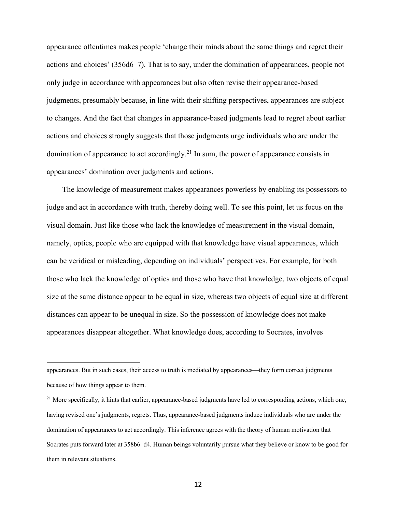appearance oftentimes makes people 'change their minds about the same things and regret their actions and choices' (356d6–7). That is to say, under the domination of appearances, people not only judge in accordance with appearances but also often revise their appearance-based judgments, presumably because, in line with their shifting perspectives, appearances are subject to changes. And the fact that changes in appearance-based judgments lead to regret about earlier actions and choices strongly suggests that those judgments urge individuals who are under the domination of appearance to act accordingly.<sup>21</sup> In sum, the power of appearance consists in appearances' domination over judgments and actions.

 The knowledge of measurement makes appearances powerless by enabling its possessors to judge and act in accordance with truth, thereby doing well. To see this point, let us focus on the visual domain. Just like those who lack the knowledge of measurement in the visual domain, namely, optics, people who are equipped with that knowledge have visual appearances, which can be veridical or misleading, depending on individuals' perspectives. For example, for both those who lack the knowledge of optics and those who have that knowledge, two objects of equal size at the same distance appear to be equal in size, whereas two objects of equal size at different distances can appear to be unequal in size. So the possession of knowledge does not make appearances disappear altogether. What knowledge does, according to Socrates, involves

appearances. But in such cases, their access to truth is mediated by appearances—they form correct judgments because of how things appear to them.

<sup>&</sup>lt;sup>21</sup> More specifically, it hints that earlier, appearance-based judgments have led to corresponding actions, which one, having revised one's judgments, regrets. Thus, appearance-based judgments induce individuals who are under the domination of appearances to act accordingly. This inference agrees with the theory of human motivation that Socrates puts forward later at 358b6–d4. Human beings voluntarily pursue what they believe or know to be good for them in relevant situations.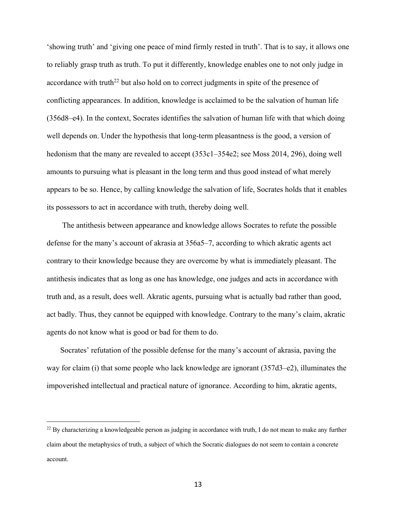'showing truth' and 'giving one peace of mind firmly rested in truth'. That is to say, it allows one to reliably grasp truth as truth. To put it differently, knowledge enables one to not only judge in accordance with truth<sup>22</sup> but also hold on to correct judgments in spite of the presence of conflicting appearances. In addition, knowledge is acclaimed to be the salvation of human life (356d8–e4). In the context, Socrates identifies the salvation of human life with that which doing well depends on. Under the hypothesis that long-term pleasantness is the good, a version of hedonism that the many are revealed to accept (353c1–354e2; see Moss 2014, 296), doing well amounts to pursuing what is pleasant in the long term and thus good instead of what merely appears to be so. Hence, by calling knowledge the salvation of life, Socrates holds that it enables its possessors to act in accordance with truth, thereby doing well.

 The antithesis between appearance and knowledge allows Socrates to refute the possible defense for the many's account of akrasia at 356a5–7, according to which akratic agents act contrary to their knowledge because they are overcome by what is immediately pleasant. The antithesis indicates that as long as one has knowledge, one judges and acts in accordance with truth and, as a result, does well. Akratic agents, pursuing what is actually bad rather than good, act badly. Thus, they cannot be equipped with knowledge. Contrary to the many's claim, akratic agents do not know what is good or bad for them to do.

 Socrates' refutation of the possible defense for the many's account of akrasia, paving the way for claim (i) that some people who lack knowledge are ignorant (357d3–e2), illuminates the impoverished intellectual and practical nature of ignorance. According to him, akratic agents,

<sup>&</sup>lt;sup>22</sup> By characterizing a knowledgeable person as judging in accordance with truth, I do not mean to make any further claim about the metaphysics of truth, a subject of which the Socratic dialogues do not seem to contain a concrete account.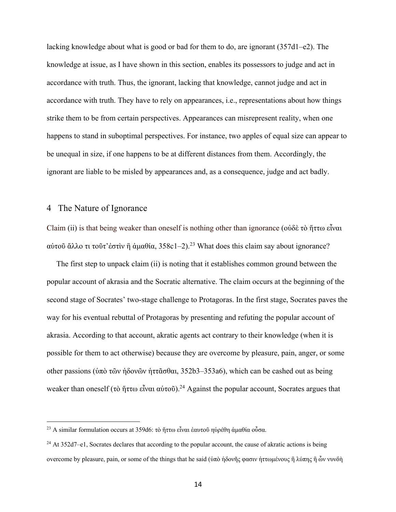lacking knowledge about what is good or bad for them to do, are ignorant (357d1–e2). The knowledge at issue, as I have shown in this section, enables its possessors to judge and act in accordance with truth. Thus, the ignorant, lacking that knowledge, cannot judge and act in accordance with truth. They have to rely on appearances, i.e., representations about how things strike them to be from certain perspectives. Appearances can misrepresent reality, when one happens to stand in suboptimal perspectives. For instance, two apples of equal size can appear to be unequal in size, if one happens to be at different distances from them. Accordingly, the ignorant are liable to be misled by appearances and, as a consequence, judge and act badly.

### 4 The Nature of Ignorance

Claim (ii) is that being weaker than oneself is nothing other than ignorance (οὐδὲ τὸ ἥττω εἶναι αύτοῦ ἄλλο τι τοῦτ'ἐστὶν ἢ ἀμαθία, 358c1–2).<sup>23</sup> What does this claim say about ignorance?

 The first step to unpack claim (ii) is noting that it establishes common ground between the popular account of akrasia and the Socratic alternative. The claim occurs at the beginning of the second stage of Socrates' two-stage challenge to Protagoras. In the first stage, Socrates paves the way for his eventual rebuttal of Protagoras by presenting and refuting the popular account of akrasia. According to that account, akratic agents act contrary to their knowledge (when it is possible for them to act otherwise) because they are overcome by pleasure, pain, anger, or some other passions (ὑπὸ τῶν ἡδονῶν ἡττᾶσθαι, 352b3–353a6), which can be cashed out as being weaker than oneself (τὸ ἥττω εἶναι αὑτοῦ).<sup>24</sup> Against the popular account, Socrates argues that

<sup>&</sup>lt;sup>23</sup> A similar formulation occurs at 359d6: τὸ ἥττω εἶναι ἐαυτοῦ ηὑρέθη ἀμαθία οὖσα.

<sup>24</sup> At 352d7–e1, Socrates declares that according to the popular account, the cause of akratic actions is being overcome by pleasure, pain, or some of the things that he said (ὑπὸ ἡδονῆς φασιν ἡττωμένους ἢ λύπης ἢ ὧν νυνδὴ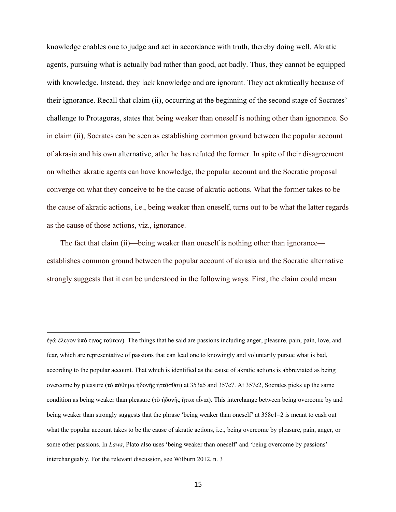knowledge enables one to judge and act in accordance with truth, thereby doing well. Akratic agents, pursuing what is actually bad rather than good, act badly. Thus, they cannot be equipped with knowledge. Instead, they lack knowledge and are ignorant. They act akratically because of their ignorance. Recall that claim (ii), occurring at the beginning of the second stage of Socrates' challenge to Protagoras, states that being weaker than oneself is nothing other than ignorance. So in claim (ii), Socrates can be seen as establishing common ground between the popular account of akrasia and his own alternative, after he has refuted the former. In spite of their disagreement on whether akratic agents can have knowledge, the popular account and the Socratic proposal converge on what they conceive to be the cause of akratic actions. What the former takes to be the cause of akratic actions, i.e., being weaker than oneself, turns out to be what the latter regards as the cause of those actions, viz., ignorance.

 The fact that claim (ii)—being weaker than oneself is nothing other than ignorance establishes common ground between the popular account of akrasia and the Socratic alternative strongly suggests that it can be understood in the following ways. First, the claim could mean

ἐγώ ἔλεγον ὑπό τινος τούτων). The things that he said are passions including anger, pleasure, pain, pain, love, and fear, which are representative of passions that can lead one to knowingly and voluntarily pursue what is bad, according to the popular account. That which is identified as the cause of akratic actions is abbreviated as being overcome by pleasure (τὸ πάθημα ἡδονῆς ἡττᾶσθαι) at 353a5 and 357c7. At 357e2, Socrates picks up the same condition as being weaker than pleasure (τὸ ἡδονῆς ἥττω εἶναι). This interchange between being overcome by and being weaker than strongly suggests that the phrase 'being weaker than oneself' at 358c1–2 is meant to cash out what the popular account takes to be the cause of akratic actions, i.e., being overcome by pleasure, pain, anger, or some other passions. In *Laws*, Plato also uses 'being weaker than oneself' and 'being overcome by passions' interchangeably. For the relevant discussion, see Wilburn 2012, n. 3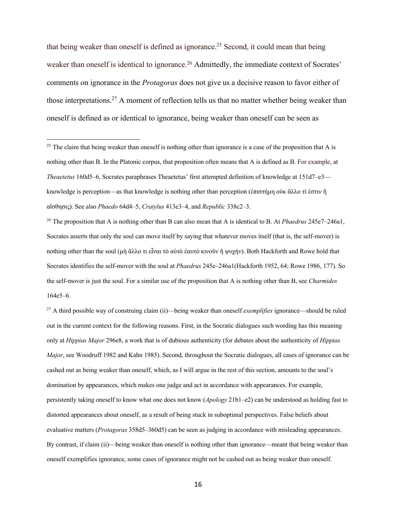that being weaker than oneself is defined as ignorance.<sup>25</sup> Second, it could mean that being weaker than oneself is identical to ignorance.<sup>26</sup> Admittedly, the immediate context of Socrates' comments on ignorance in the *Protagoras* does not give us a decisive reason to favor either of those interpretations.27 A moment of reflection tells us that no matter whether being weaker than oneself is defined as or identical to ignorance, being weaker than oneself can be seen as

<sup>26</sup> The proposition that A is nothing other than B can also mean that A is identical to B. At *Phaedrus* 245e7–246a1, Socrates asserts that only the soul can move itself by saying that whatever moves itself (that is, the self-mover) is nothing other than the soul (μὴ ἄλλο τι εἶναι τὸ αὐτὸ ἑαυτὸ κινοῦν ἢ ψυχήν). Both Hackforth and Rowe hold that Socrates identifies the self-mover with the soul at *Phaedrus* 245e–246a1(Hackforth 1952, 64; Rowe 1986, 177). So the self-mover is just the soul. For a similar use of the proposition that A is nothing other than B, see *Charmides* 164e5–6.

<sup>27</sup> A third possible way of construing claim (ii)—being weaker than oneself *exemplifies* ignorance—should be ruled out in the current context for the following reasons. First, in the Socratic dialogues such wording has this meaning only at *Hippias Major* 296e8, a work that is of dubious authenticity (for debates about the authenticity of *Hippias Major*, see Woodruff 1982 and Kahn 1985). Second, throughout the Socratic dialogues, all cases of ignorance can be cashed out as being weaker than oneself, which, as I will argue in the rest of this section, amounts to the soul's domination by appearances, which makes one judge and act in accordance with appearances. For example, persistently taking oneself to know what one does not know (*Apology* 21b1–e2) can be understood as holding fast to distorted appearances about oneself, as a result of being stuck in suboptimal perspectives. False beliefs about evaluative matters (*Protagoras* 358d5–360d5) can be seen as judging in accordance with misleading appearances. By contrast, if claim (ii)—being weaker than oneself is nothing other than ignorance—meant that being weaker than oneself exemplifies ignorance, some cases of ignorance might not be cashed out as being weaker than oneself.

<sup>&</sup>lt;sup>25</sup> The claim that being weaker than oneself is nothing other than ignorance is a case of the proposition that A is nothing other than B. In the Platonic corpus, that proposition often means that A is defined as B. For example, at *Theaetetus* 160d5–6, Socrates paraphrases Theaetetus' first attempted definition of knowledge at 151d7–e3 knowledge is perception—as that knowledge is nothing other than perception (ἐπιστήμη οὐκ ἄλλο τί ἐστιν ἢ αἴσθησις). See also *Phaedo* 64d4–5, *Cratylus* 413e3–4, and *Republic* 338c2–3.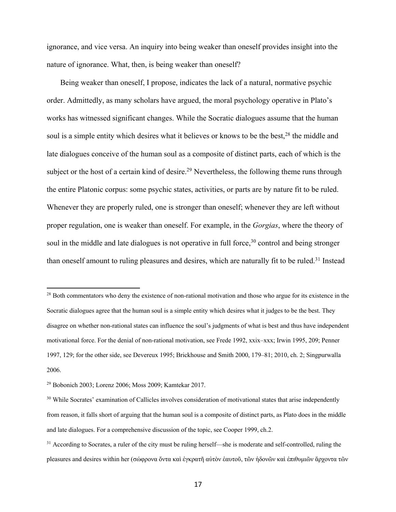ignorance, and vice versa. An inquiry into being weaker than oneself provides insight into the nature of ignorance. What, then, is being weaker than oneself?

 Being weaker than oneself, I propose, indicates the lack of a natural, normative psychic order. Admittedly, as many scholars have argued, the moral psychology operative in Plato's works has witnessed significant changes. While the Socratic dialogues assume that the human soul is a simple entity which desires what it believes or knows to be the best,<sup>28</sup> the middle and late dialogues conceive of the human soul as a composite of distinct parts, each of which is the subject or the host of a certain kind of desire.<sup>29</sup> Nevertheless, the following theme runs through the entire Platonic corpus: some psychic states, activities, or parts are by nature fit to be ruled. Whenever they are properly ruled, one is stronger than oneself; whenever they are left without proper regulation, one is weaker than oneself. For example, in the *Gorgias*, where the theory of soul in the middle and late dialogues is not operative in full force,<sup>30</sup> control and being stronger than oneself amount to ruling pleasures and desires, which are naturally fit to be ruled.<sup>31</sup> Instead

<sup>&</sup>lt;sup>28</sup> Both commentators who deny the existence of non-rational motivation and those who argue for its existence in the Socratic dialogues agree that the human soul is a simple entity which desires what it judges to be the best. They disagree on whether non-rational states can influence the soul's judgments of what is best and thus have independent motivational force. For the denial of non-rational motivation, see Frede 1992, xxix–xxx; Irwin 1995, 209; Penner 1997, 129; for the other side, see Devereux 1995; Brickhouse and Smith 2000, 179–81; 2010, ch. 2; Singpurwalla 2006.

<sup>29</sup> Bobonich 2003; Lorenz 2006; Moss 2009; Kamtekar 2017.

<sup>&</sup>lt;sup>30</sup> While Socrates' examination of Callicles involves consideration of motivational states that arise independently from reason, it falls short of arguing that the human soul is a composite of distinct parts, as Plato does in the middle and late dialogues. For a comprehensive discussion of the topic, see Cooper 1999, ch.2.

<sup>&</sup>lt;sup>31</sup> According to Socrates, a ruler of the city must be ruling herself—she is moderate and self-controlled, ruling the pleasures and desires within her (σώφρονα ὄντα καὶ ἐγκρατῆ αὐτὸν ἑαυτοῦ, τῶν ἡδονῶν καὶ ἐπιθυμιῶν ἄρχοντα τῶν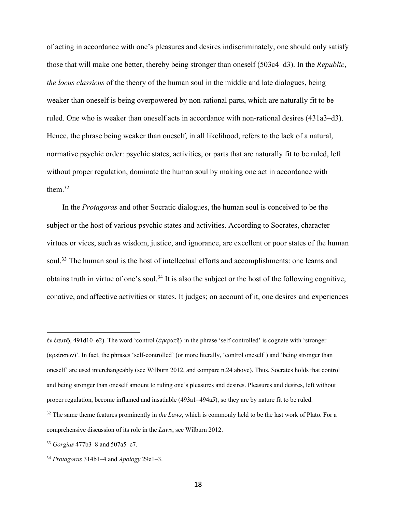of acting in accordance with one's pleasures and desires indiscriminately, one should only satisfy those that will make one better, thereby being stronger than oneself (503c4–d3). In the *Republic*, *the locus classicus* of the theory of the human soul in the middle and late dialogues, being weaker than oneself is being overpowered by non-rational parts, which are naturally fit to be ruled. One who is weaker than oneself acts in accordance with non-rational desires (431a3–d3). Hence, the phrase being weaker than oneself, in all likelihood, refers to the lack of a natural, normative psychic order: psychic states, activities, or parts that are naturally fit to be ruled, left without proper regulation, dominate the human soul by making one act in accordance with them. 32

 In the *Protagoras* and other Socratic dialogues, the human soul is conceived to be the subject or the host of various psychic states and activities. According to Socrates, character virtues or vices, such as wisdom, justice, and ignorance, are excellent or poor states of the human soul.<sup>33</sup> The human soul is the host of intellectual efforts and accomplishments: one learns and obtains truth in virtue of one's soul.<sup>34</sup> It is also the subject or the host of the following cognitive, conative, and affective activities or states. It judges; on account of it, one desires and experiences

ἐν ἑαυτῷ, 491d10–e2). The word 'control (ἐγκρατῆ)᾽in the phrase 'self-controlled' is cognate with 'stronger (κρείσσων)'. In fact, the phrases 'self-controlled' (or more literally, 'control oneself') and 'being stronger than oneself' are used interchangeably (see Wilburn 2012, and compare n.24 above). Thus, Socrates holds that control and being stronger than oneself amount to ruling one's pleasures and desires. Pleasures and desires, left without proper regulation, become inflamed and insatiable (493a1–494a5), so they are by nature fit to be ruled.

<sup>&</sup>lt;sup>32</sup> The same theme features prominently in *the Laws*, which is commonly held to be the last work of Plato. For a comprehensive discussion of its role in the *Laws*, see Wilburn 2012.

<sup>33</sup> *Gorgias* 477b3–8 and 507a5–c7.

<sup>34</sup> *Protagoras* 314b1–4 and *Apology* 29e1–3.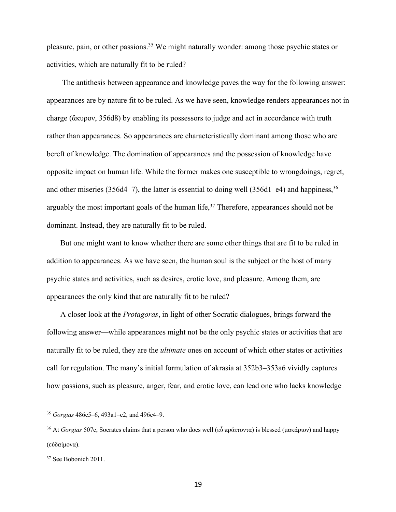pleasure, pain, or other passions.35 We might naturally wonder: among those psychic states or activities, which are naturally fit to be ruled?

 The antithesis between appearance and knowledge paves the way for the following answer: appearances are by nature fit to be ruled. As we have seen, knowledge renders appearances not in charge (ἄκυρον, 356d8) by enabling its possessors to judge and act in accordance with truth rather than appearances. So appearances are characteristically dominant among those who are bereft of knowledge. The domination of appearances and the possession of knowledge have opposite impact on human life. While the former makes one susceptible to wrongdoings, regret, and other miseries (356d4–7), the latter is essential to doing well (356d1–e4) and happiness,  $36$ arguably the most important goals of the human life,<sup>37</sup> Therefore, appearances should not be dominant. Instead, they are naturally fit to be ruled.

 But one might want to know whether there are some other things that are fit to be ruled in addition to appearances. As we have seen, the human soul is the subject or the host of many psychic states and activities, such as desires, erotic love, and pleasure. Among them, are appearances the only kind that are naturally fit to be ruled?

 A closer look at the *Protagoras*, in light of other Socratic dialogues, brings forward the following answer—while appearances might not be the only psychic states or activities that are naturally fit to be ruled, they are the *ultimate* ones on account of which other states or activities call for regulation. The many's initial formulation of akrasia at 352b3–353a6 vividly captures how passions, such as pleasure, anger, fear, and erotic love, can lead one who lacks knowledge

<sup>35</sup> *Gorgias* 486e5–6, 493a1–c2, and 496e4–9.

<sup>36</sup> At *Gorgias* 507c, Socrates claims that a person who does well (εὖ πράττοντα) is blessed (μακάριον) and happy (εὐδαίμονα).

<sup>37</sup> See Bobonich 2011.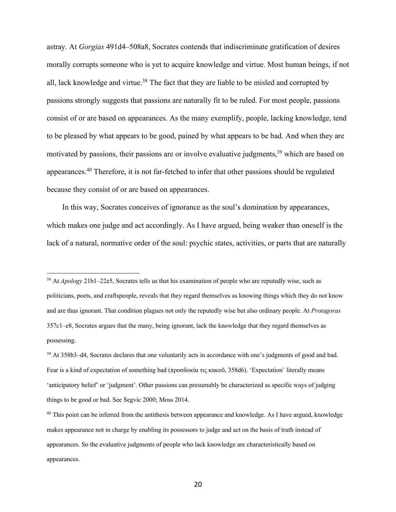astray. At *Gorgias* 491d4–508a8, Socrates contends that indiscriminate gratification of desires morally corrupts someone who is yet to acquire knowledge and virtue. Most human beings, if not all, lack knowledge and virtue.<sup>38</sup> The fact that they are liable to be misled and corrupted by passions strongly suggests that passions are naturally fit to be ruled. For most people, passions consist of or are based on appearances. As the many exemplify, people, lacking knowledge, tend to be pleased by what appears to be good, pained by what appears to be bad. And when they are motivated by passions, their passions are or involve evaluative judgments,<sup>39</sup> which are based on appearances.<sup>40</sup> Therefore, it is not far-fetched to infer that other passions should be regulated because they consist of or are based on appearances.

 In this way, Socrates conceives of ignorance as the soul's domination by appearances, which makes one judge and act accordingly. As I have argued, being weaker than oneself is the lack of a natural, normative order of the soul: psychic states, activities, or parts that are naturally

<sup>38</sup> At *Apology* 21b1–22e5, Socrates tells us that his examination of people who are reputedly wise, such as politicians, poets, and craftspeople, reveals that they regard themselves as knowing things which they do not know and are thus ignorant. That condition plagues not only the reputedly wise but also ordinary people. At *Protagoras*  357c1–e8, Socrates argues that the many, being ignorant, lack the knowledge that they regard themselves as possessing.

<sup>39</sup> At 358b3–d4, Socrates declares that one voluntarily acts in accordance with one's judgments of good and bad. Fear is a kind of expectation of something bad (προσδοκία τις κακοῦ, 358d6). 'Expectation' literally means 'anticipatory belief' or 'judgment'. Other passions can presumably be characterized as specific ways of judging things to be good or bad. See Segvic 2000; Moss 2014.

<sup>&</sup>lt;sup>40</sup> This point can be inferred from the antithesis between appearance and knowledge. As I have argued, knowledge makes appearance not in charge by enabling its possessors to judge and act on the basis of truth instead of appearances. So the evaluative judgments of people who lack knowledge are characteristically based on appearances.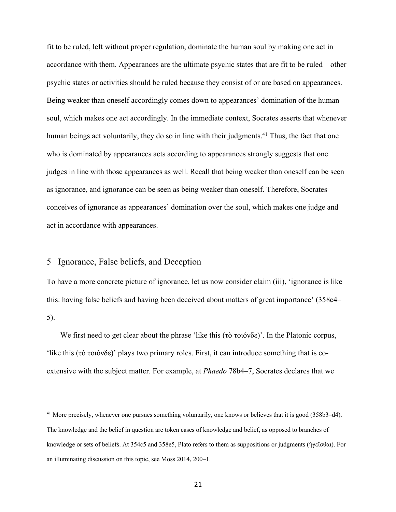fit to be ruled, left without proper regulation, dominate the human soul by making one act in accordance with them. Appearances are the ultimate psychic states that are fit to be ruled—other psychic states or activities should be ruled because they consist of or are based on appearances. Being weaker than oneself accordingly comes down to appearances' domination of the human soul, which makes one act accordingly. In the immediate context, Socrates asserts that whenever human beings act voluntarily, they do so in line with their judgments.<sup>41</sup> Thus, the fact that one who is dominated by appearances acts according to appearances strongly suggests that one judges in line with those appearances as well. Recall that being weaker than oneself can be seen as ignorance, and ignorance can be seen as being weaker than oneself. Therefore, Socrates conceives of ignorance as appearances' domination over the soul, which makes one judge and act in accordance with appearances.

#### 5 Ignorance, False beliefs, and Deception

To have a more concrete picture of ignorance, let us now consider claim (iii), 'ignorance is like this: having false beliefs and having been deceived about matters of great importance' (358c4– 5).

 We first need to get clear about the phrase 'like this (τὸ τοιόνδε)'. In the Platonic corpus, 'like this (τὸ τοιόνδε)' plays two primary roles. First, it can introduce something that is coextensive with the subject matter. For example, at *Phaedo* 78b4–7, Socrates declares that we

<sup>&</sup>lt;sup>41</sup> More precisely, whenever one pursues something voluntarily, one knows or believes that it is good (358b3–d4). The knowledge and the belief in question are token cases of knowledge and belief, as opposed to branches of knowledge or sets of beliefs. At 354c5 and 358e5, Plato refers to them as suppositions or judgments (ἡγεῖσθαι). For an illuminating discussion on this topic, see Moss 2014, 200–1.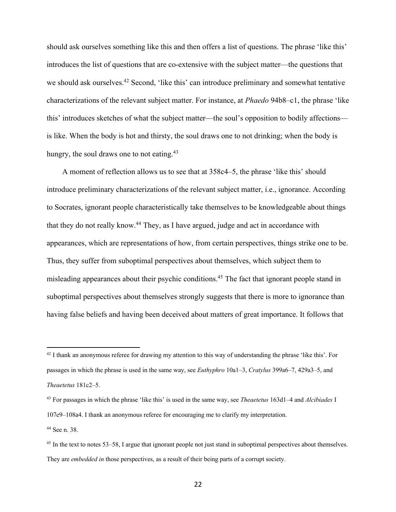should ask ourselves something like this and then offers a list of questions. The phrase 'like this' introduces the list of questions that are co-extensive with the subject matter—the questions that we should ask ourselves.<sup>42</sup> Second, 'like this' can introduce preliminary and somewhat tentative characterizations of the relevant subject matter. For instance, at *Phaedo* 94b8–c1, the phrase 'like this' introduces sketches of what the subject matter—the soul's opposition to bodily affections is like. When the body is hot and thirsty, the soul draws one to not drinking; when the body is hungry, the soul draws one to not eating.<sup>43</sup>

 A moment of reflection allows us to see that at 358c4–5, the phrase 'like this' should introduce preliminary characterizations of the relevant subject matter, i.e., ignorance. According to Socrates, ignorant people characteristically take themselves to be knowledgeable about things that they do not really know.44 They, as I have argued, judge and act in accordance with appearances, which are representations of how, from certain perspectives, things strike one to be. Thus, they suffer from suboptimal perspectives about themselves, which subject them to misleading appearances about their psychic conditions.<sup>45</sup> The fact that ignorant people stand in suboptimal perspectives about themselves strongly suggests that there is more to ignorance than having false beliefs and having been deceived about matters of great importance. It follows that

<sup>44</sup> See n. 38.

 $42$  I thank an anonymous referee for drawing my attention to this way of understanding the phrase 'like this'. For passages in which the phrase is used in the same way, see *Euthyphro* 10a1–3, *Cratylus* 399a6–7, 429a3–5, and *Theaetetus* 181c2–5.

<sup>43</sup> For passages in which the phrase 'like this' is used in the same way, see *Theaetetus* 163d1–4 and *Alcibiades* I 107e9–108a4. I thank an anonymous referee for encouraging me to clarify my interpretation.

<sup>&</sup>lt;sup>45</sup> In the text to notes 53–58, I argue that ignorant people not just stand in suboptimal perspectives about themselves. They are *embedded in* those perspectives, as a result of their being parts of a corrupt society.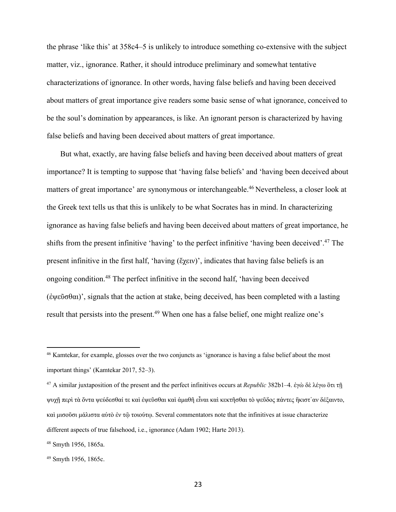the phrase 'like this' at 358c4–5 is unlikely to introduce something co-extensive with the subject matter, viz., ignorance. Rather, it should introduce preliminary and somewhat tentative characterizations of ignorance. In other words, having false beliefs and having been deceived about matters of great importance give readers some basic sense of what ignorance, conceived to be the soul's domination by appearances, is like. An ignorant person is characterized by having false beliefs and having been deceived about matters of great importance.

 But what, exactly, are having false beliefs and having been deceived about matters of great importance? It is tempting to suppose that 'having false beliefs' and 'having been deceived about matters of great importance' are synonymous or interchangeable.<sup>46</sup> Nevertheless, a closer look at the Greek text tells us that this is unlikely to be what Socrates has in mind. In characterizing ignorance as having false beliefs and having been deceived about matters of great importance, he shifts from the present infinitive 'having' to the perfect infinitive 'having been deceived'.47 The present infinitive in the first half, 'having (ἔχειν)', indicates that having false beliefs is an ongoing condition.48 The perfect infinitive in the second half, 'having been deceived (ἐψεῦσθαι)', signals that the action at stake, being deceived, has been completed with a lasting result that persists into the present.<sup>49</sup> When one has a false belief, one might realize one's

<sup>46</sup> Kamtekar, for example, glosses over the two conjuncts as 'ignorance is having a false belief about the most important things' (Kamtekar 2017, 52–3).

<sup>47</sup> A similar juxtaposition of the present and the perfect infinitives occurs at *Republic* 382b1–4. ἐγὼ δὲ λέγω ὃτι τῇ ψυχῇ περὶ τὰ ὄντα ψεύδεσθαί τε καὶ ἐψεῦσθαι καὶ ἀμαθῆ εἶναι καὶ κεκτῆσθαι τὸ ψεῦδος πἀντες ἣκιστ᾽αν δέξαιντο, καὶ μισοῦσι μάλιστα αὐτὸ ἐν τῷ τοιούτῳ. Several commentators note that the infinitives at issue characterize different aspects of true falsehood, i.e., ignorance (Adam 1902; Harte 2013).

<sup>48</sup> Smyth 1956, 1865a.

<sup>49</sup> Smyth 1956, 1865c.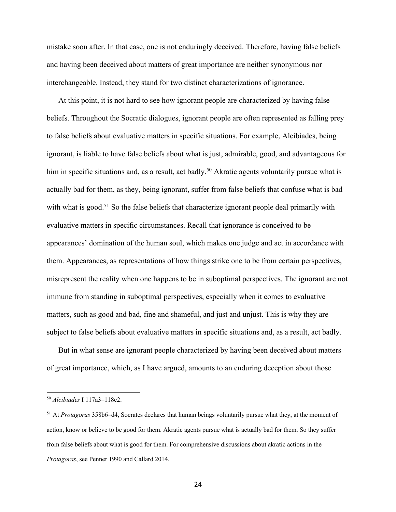mistake soon after. In that case, one is not enduringly deceived. Therefore, having false beliefs and having been deceived about matters of great importance are neither synonymous nor interchangeable. Instead, they stand for two distinct characterizations of ignorance.

 At this point, it is not hard to see how ignorant people are characterized by having false beliefs. Throughout the Socratic dialogues, ignorant people are often represented as falling prey to false beliefs about evaluative matters in specific situations. For example, Alcibiades, being ignorant, is liable to have false beliefs about what is just, admirable, good, and advantageous for him in specific situations and, as a result, act badly.<sup>50</sup> Akratic agents voluntarily pursue what is actually bad for them, as they, being ignorant, suffer from false beliefs that confuse what is bad with what is good.<sup>51</sup> So the false beliefs that characterize ignorant people deal primarily with evaluative matters in specific circumstances. Recall that ignorance is conceived to be appearances' domination of the human soul, which makes one judge and act in accordance with them. Appearances, as representations of how things strike one to be from certain perspectives, misrepresent the reality when one happens to be in suboptimal perspectives. The ignorant are not immune from standing in suboptimal perspectives, especially when it comes to evaluative matters, such as good and bad, fine and shameful, and just and unjust. This is why they are subject to false beliefs about evaluative matters in specific situations and, as a result, act badly.

 But in what sense are ignorant people characterized by having been deceived about matters of great importance, which, as I have argued, amounts to an enduring deception about those

<sup>50</sup> *Alcibiades* I 117a3–118c2.

<sup>51</sup> At *Protagoras* 358b6–d4, Socrates declares that human beings voluntarily pursue what they, at the moment of action, know or believe to be good for them. Akratic agents pursue what is actually bad for them. So they suffer from false beliefs about what is good for them. For comprehensive discussions about akratic actions in the *Protagoras*, see Penner 1990 and Callard 2014.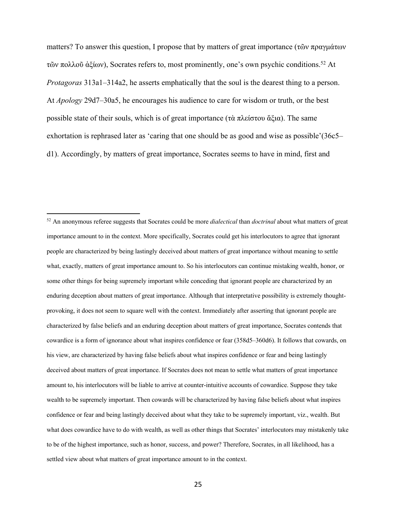matters? To answer this question, I propose that by matters of great importance (τῶν πραγμάτων τῶν πολλοῦ ἀξίων), Socrates refers to, most prominently, one's own psychic conditions.52 At *Protagoras* 313a1–314a2, he asserts emphatically that the soul is the dearest thing to a person. At *Apology* 29d7–30a5, he encourages his audience to care for wisdom or truth, or the best possible state of their souls, which is of great importance (τὰ πλείστου ἄξια). The same exhortation is rephrased later as 'caring that one should be as good and wise as possible'(36c5– d1). Accordingly, by matters of great importance, Socrates seems to have in mind, first and

<sup>52</sup> An anonymous referee suggests that Socrates could be more *dialectical* than *doctrinal* about what matters of great importance amount to in the context. More specifically, Socrates could get his interlocutors to agree that ignorant people are characterized by being lastingly deceived about matters of great importance without meaning to settle what, exactly, matters of great importance amount to. So his interlocutors can continue mistaking wealth, honor, or some other things for being supremely important while conceding that ignorant people are characterized by an enduring deception about matters of great importance. Although that interpretative possibility is extremely thoughtprovoking, it does not seem to square well with the context. Immediately after asserting that ignorant people are characterized by false beliefs and an enduring deception about matters of great importance, Socrates contends that cowardice is a form of ignorance about what inspires confidence or fear (358d5–360d6). It follows that cowards, on his view, are characterized by having false beliefs about what inspires confidence or fear and being lastingly deceived about matters of great importance. If Socrates does not mean to settle what matters of great importance amount to, his interlocutors will be liable to arrive at counter-intuitive accounts of cowardice. Suppose they take wealth to be supremely important. Then cowards will be characterized by having false beliefs about what inspires confidence or fear and being lastingly deceived about what they take to be supremely important, viz., wealth. But what does cowardice have to do with wealth, as well as other things that Socrates' interlocutors may mistakenly take to be of the highest importance, such as honor, success, and power? Therefore, Socrates, in all likelihood, has a settled view about what matters of great importance amount to in the context.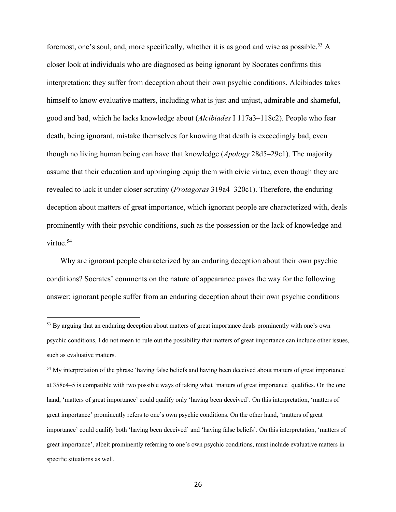foremost, one's soul, and, more specifically, whether it is as good and wise as possible.<sup>53</sup> A closer look at individuals who are diagnosed as being ignorant by Socrates confirms this interpretation: they suffer from deception about their own psychic conditions. Alcibiades takes himself to know evaluative matters, including what is just and unjust, admirable and shameful, good and bad, which he lacks knowledge about (*Alcibiades* I 117a3–118c2). People who fear death, being ignorant, mistake themselves for knowing that death is exceedingly bad, even though no living human being can have that knowledge (*Apology* 28d5–29c1). The majority assume that their education and upbringing equip them with civic virtue, even though they are revealed to lack it under closer scrutiny (*Protagoras* 319a4–320c1). Therefore, the enduring deception about matters of great importance, which ignorant people are characterized with, deals prominently with their psychic conditions, such as the possession or the lack of knowledge and virtue.<sup>54</sup>

 Why are ignorant people characterized by an enduring deception about their own psychic conditions? Socrates' comments on the nature of appearance paves the way for the following answer: ignorant people suffer from an enduring deception about their own psychic conditions

<sup>&</sup>lt;sup>53</sup> By arguing that an enduring deception about matters of great importance deals prominently with one's own psychic conditions, I do not mean to rule out the possibility that matters of great importance can include other issues, such as evaluative matters.

<sup>54</sup> My interpretation of the phrase 'having false beliefs and having been deceived about matters of great importance' at 358c4–5 is compatible with two possible ways of taking what 'matters of great importance' qualifies. On the one hand, 'matters of great importance' could qualify only 'having been deceived'. On this interpretation, 'matters of great importance' prominently refers to one's own psychic conditions. On the other hand, 'matters of great importance' could qualify both 'having been deceived' and 'having false beliefs'. On this interpretation, 'matters of great importance', albeit prominently referring to one's own psychic conditions, must include evaluative matters in specific situations as well.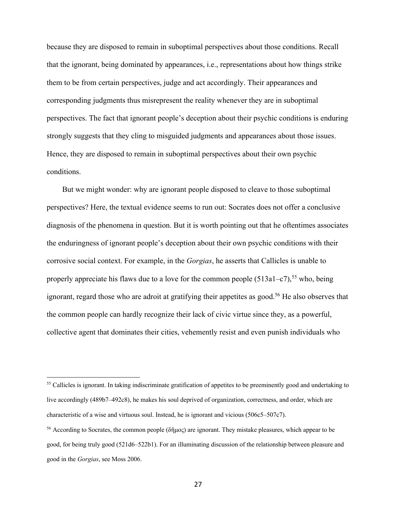because they are disposed to remain in suboptimal perspectives about those conditions. Recall that the ignorant, being dominated by appearances, i.e., representations about how things strike them to be from certain perspectives, judge and act accordingly. Their appearances and corresponding judgments thus misrepresent the reality whenever they are in suboptimal perspectives. The fact that ignorant people's deception about their psychic conditions is enduring strongly suggests that they cling to misguided judgments and appearances about those issues. Hence, they are disposed to remain in suboptimal perspectives about their own psychic conditions.

 But we might wonder: why are ignorant people disposed to cleave to those suboptimal perspectives? Here, the textual evidence seems to run out: Socrates does not offer a conclusive diagnosis of the phenomena in question. But it is worth pointing out that he oftentimes associates the enduringness of ignorant people's deception about their own psychic conditions with their corrosive social context. For example, in the *Gorgias*, he asserts that Callicles is unable to properly appreciate his flaws due to a love for the common people  $(513a1-c7)$ ,<sup>55</sup> who, being ignorant, regard those who are adroit at gratifying their appetites as good.<sup>56</sup> He also observes that the common people can hardly recognize their lack of civic virtue since they, as a powerful, collective agent that dominates their cities, vehemently resist and even punish individuals who

<sup>&</sup>lt;sup>55</sup> Callicles is ignorant. In taking indiscriminate gratification of appetites to be preeminently good and undertaking to live accordingly (489b7–492c8), he makes his soul deprived of organization, correctness, and order, which are characteristic of a wise and virtuous soul. Instead, he is ignorant and vicious (506c5–507c7).

<sup>56</sup> According to Socrates, the common people (δῆμος) are ignorant. They mistake pleasures, which appear to be good, for being truly good (521d6–522b1). For an illuminating discussion of the relationship between pleasure and good in the *Gorgias*, see Moss 2006.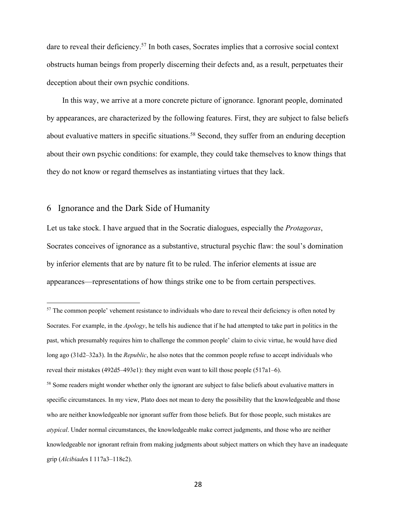dare to reveal their deficiency.<sup>57</sup> In both cases, Socrates implies that a corrosive social context obstructs human beings from properly discerning their defects and, as a result, perpetuates their deception about their own psychic conditions.

 In this way, we arrive at a more concrete picture of ignorance. Ignorant people, dominated by appearances, are characterized by the following features. First, they are subject to false beliefs about evaluative matters in specific situations.<sup>58</sup> Second, they suffer from an enduring deception about their own psychic conditions: for example, they could take themselves to know things that they do not know or regard themselves as instantiating virtues that they lack.

#### 6 Ignorance and the Dark Side of Humanity

Let us take stock. I have argued that in the Socratic dialogues, especially the *Protagoras*, Socrates conceives of ignorance as a substantive, structural psychic flaw: the soul's domination by inferior elements that are by nature fit to be ruled. The inferior elements at issue are appearances—representations of how things strike one to be from certain perspectives.

<sup>&</sup>lt;sup>57</sup> The common people' vehement resistance to individuals who dare to reveal their deficiency is often noted by Socrates. For example, in the *Apology*, he tells his audience that if he had attempted to take part in politics in the past, which presumably requires him to challenge the common people' claim to civic virtue, he would have died long ago (31d2–32a3). In the *Republic*, he also notes that the common people refuse to accept individuals who reveal their mistakes (492d5–493e1): they might even want to kill those people (517a1–6).

<sup>&</sup>lt;sup>58</sup> Some readers might wonder whether only the ignorant are subject to false beliefs about evaluative matters in specific circumstances. In my view, Plato does not mean to deny the possibility that the knowledgeable and those who are neither knowledgeable nor ignorant suffer from those beliefs. But for those people, such mistakes are *atypical*. Under normal circumstances, the knowledgeable make correct judgments, and those who are neither knowledgeable nor ignorant refrain from making judgments about subject matters on which they have an inadequate grip (*Alcibiade*s I 117a3–118c2).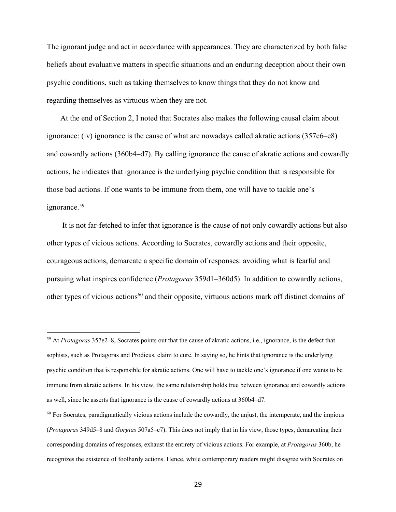The ignorant judge and act in accordance with appearances. They are characterized by both false beliefs about evaluative matters in specific situations and an enduring deception about their own psychic conditions, such as taking themselves to know things that they do not know and regarding themselves as virtuous when they are not.

 At the end of Section 2, I noted that Socrates also makes the following causal claim about ignorance: (iv) ignorance is the cause of what are nowadays called akratic actions (357c6–e8) and cowardly actions (360b4–d7). By calling ignorance the cause of akratic actions and cowardly actions, he indicates that ignorance is the underlying psychic condition that is responsible for those bad actions. If one wants to be immune from them, one will have to tackle one's ignorance.59

 It is not far-fetched to infer that ignorance is the cause of not only cowardly actions but also other types of vicious actions. According to Socrates, cowardly actions and their opposite, courageous actions, demarcate a specific domain of responses: avoiding what is fearful and pursuing what inspires confidence (*Protagoras* 359d1–360d5). In addition to cowardly actions, other types of vicious actions<sup>60</sup> and their opposite, virtuous actions mark off distinct domains of

<sup>59</sup> At *Protagoras* 357e2–8, Socrates points out that the cause of akratic actions, i.e., ignorance, is the defect that sophists, such as Protagoras and Prodicus, claim to cure. In saying so, he hints that ignorance is the underlying psychic condition that is responsible for akratic actions. One will have to tackle one's ignorance if one wants to be immune from akratic actions. In his view, the same relationship holds true between ignorance and cowardly actions as well, since he asserts that ignorance is the cause of cowardly actions at 360b4–d7.

 $60$  For Socrates, paradigmatically vicious actions include the cowardly, the unjust, the intemperate, and the impious (*Protagoras* 349d5–8 and *Gorgias* 507a5–c7). This does not imply that in his view, those types, demarcating their corresponding domains of responses, exhaust the entirety of vicious actions. For example, at *Protagoras* 360b, he recognizes the existence of foolhardy actions. Hence, while contemporary readers might disagree with Socrates on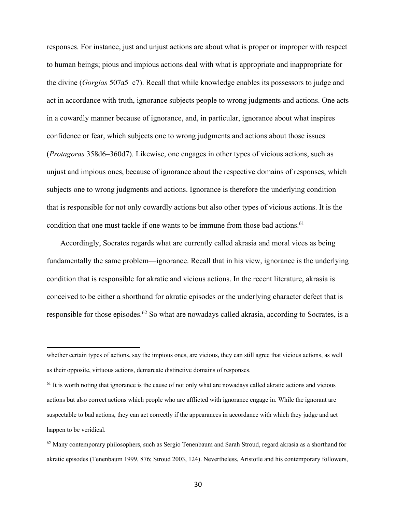responses. For instance, just and unjust actions are about what is proper or improper with respect to human beings; pious and impious actions deal with what is appropriate and inappropriate for the divine (*Gorgias* 507a5–c7). Recall that while knowledge enables its possessors to judge and act in accordance with truth, ignorance subjects people to wrong judgments and actions. One acts in a cowardly manner because of ignorance, and, in particular, ignorance about what inspires confidence or fear, which subjects one to wrong judgments and actions about those issues (*Protagoras* 358d6–360d7). Likewise, one engages in other types of vicious actions, such as unjust and impious ones, because of ignorance about the respective domains of responses, which subjects one to wrong judgments and actions. Ignorance is therefore the underlying condition that is responsible for not only cowardly actions but also other types of vicious actions. It is the condition that one must tackle if one wants to be immune from those bad actions.  $61$ 

 Accordingly, Socrates regards what are currently called akrasia and moral vices as being fundamentally the same problem—ignorance. Recall that in his view, ignorance is the underlying condition that is responsible for akratic and vicious actions. In the recent literature, akrasia is conceived to be either a shorthand for akratic episodes or the underlying character defect that is responsible for those episodes.<sup>62</sup> So what are nowadays called akrasia, according to Socrates, is a

whether certain types of actions, say the impious ones, are vicious, they can still agree that vicious actions, as well as their opposite, virtuous actions, demarcate distinctive domains of responses.

 $<sup>61</sup>$  It is worth noting that ignorance is the cause of not only what are nowadays called akratic actions and vicious</sup> actions but also correct actions which people who are afflicted with ignorance engage in. While the ignorant are suspectable to bad actions, they can act correctly if the appearances in accordance with which they judge and act happen to be veridical.

<sup>&</sup>lt;sup>62</sup> Many contemporary philosophers, such as Sergio Tenenbaum and Sarah Stroud, regard akrasia as a shorthand for akratic episodes (Tenenbaum 1999, 876; Stroud 2003, 124). Nevertheless, Aristotle and his contemporary followers,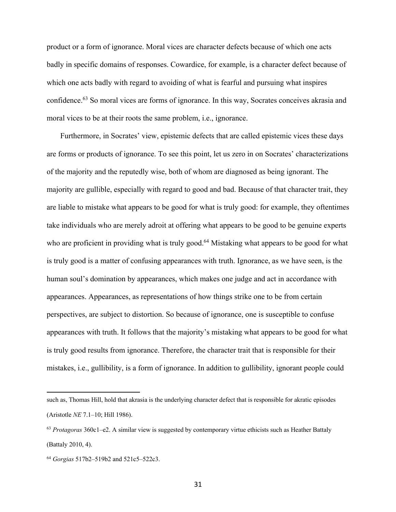product or a form of ignorance. Moral vices are character defects because of which one acts badly in specific domains of responses. Cowardice, for example, is a character defect because of which one acts badly with regard to avoiding of what is fearful and pursuing what inspires confidence. <sup>63</sup> So moral vices are forms of ignorance. In this way, Socrates conceives akrasia and moral vices to be at their roots the same problem, i.e., ignorance.

 Furthermore, in Socrates' view, epistemic defects that are called epistemic vices these days are forms or products of ignorance. To see this point, let us zero in on Socrates' characterizations of the majority and the reputedly wise, both of whom are diagnosed as being ignorant. The majority are gullible, especially with regard to good and bad. Because of that character trait, they are liable to mistake what appears to be good for what is truly good: for example, they oftentimes take individuals who are merely adroit at offering what appears to be good to be genuine experts who are proficient in providing what is truly good.<sup>64</sup> Mistaking what appears to be good for what is truly good is a matter of confusing appearances with truth. Ignorance, as we have seen, is the human soul's domination by appearances, which makes one judge and act in accordance with appearances. Appearances, as representations of how things strike one to be from certain perspectives, are subject to distortion. So because of ignorance, one is susceptible to confuse appearances with truth. It follows that the majority's mistaking what appears to be good for what is truly good results from ignorance. Therefore, the character trait that is responsible for their mistakes, i.e., gullibility, is a form of ignorance. In addition to gullibility, ignorant people could

31

such as, Thomas Hill, hold that akrasia is the underlying character defect that is responsible for akratic episodes (Aristotle *NE* 7.1–10; Hill 1986).

<sup>63</sup> *Protagoras* 360c1–e2. A similar view is suggested by contemporary virtue ethicists such as Heather Battaly (Battaly 2010, 4).

<sup>64</sup> *Gorgias* 517b2–519b2 and 521c5–522c3.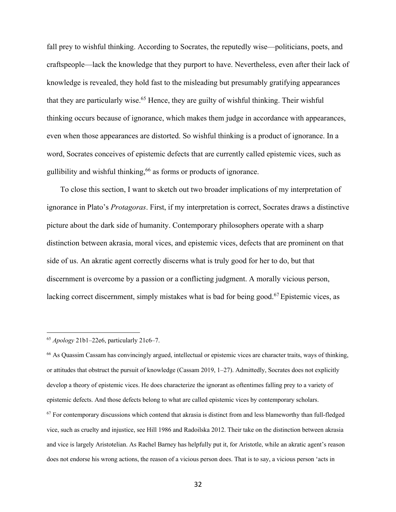fall prey to wishful thinking. According to Socrates, the reputedly wise—politicians, poets, and craftspeople—lack the knowledge that they purport to have. Nevertheless, even after their lack of knowledge is revealed, they hold fast to the misleading but presumably gratifying appearances that they are particularly wise.65 Hence, they are guilty of wishful thinking. Their wishful thinking occurs because of ignorance, which makes them judge in accordance with appearances, even when those appearances are distorted. So wishful thinking is a product of ignorance. In a word, Socrates conceives of epistemic defects that are currently called epistemic vices, such as gullibility and wishful thinking,66 as forms or products of ignorance.

 To close this section, I want to sketch out two broader implications of my interpretation of ignorance in Plato's *Protagoras*. First, if my interpretation is correct, Socrates draws a distinctive picture about the dark side of humanity. Contemporary philosophers operate with a sharp distinction between akrasia, moral vices, and epistemic vices, defects that are prominent on that side of us. An akratic agent correctly discerns what is truly good for her to do, but that discernment is overcome by a passion or a conflicting judgment. A morally vicious person, lacking correct discernment, simply mistakes what is bad for being good.<sup>67</sup> Epistemic vices, as

<sup>66</sup> As Quassim Cassam has convincingly argued, intellectual or epistemic vices are character traits, ways of thinking, or attitudes that obstruct the pursuit of knowledge (Cassam 2019, 1–27). Admittedly, Socrates does not explicitly develop a theory of epistemic vices. He does characterize the ignorant as oftentimes falling prey to a variety of epistemic defects. And those defects belong to what are called epistemic vices by contemporary scholars.  $67$  For contemporary discussions which contend that akrasia is distinct from and less blameworthy than full-fledged vice, such as cruelty and injustice, see Hill 1986 and Radoilska 2012. Their take on the distinction between akrasia and vice is largely Aristotelian. As Rachel Barney has helpfully put it, for Aristotle, while an akratic agent's reason does not endorse his wrong actions, the reason of a vicious person does. That is to say, a vicious person 'acts in

<sup>65</sup> *Apology* 21b1–22e6, particularly 21c6–7.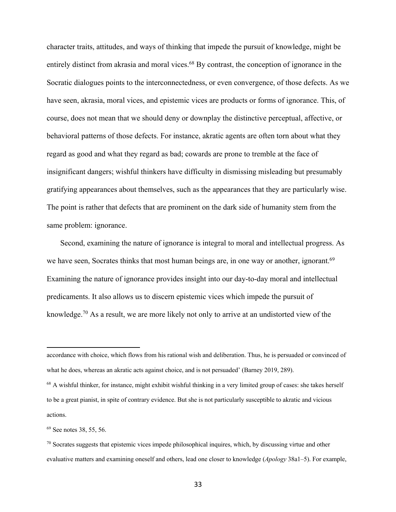character traits, attitudes, and ways of thinking that impede the pursuit of knowledge, might be entirely distinct from akrasia and moral vices.<sup>68</sup> By contrast, the conception of ignorance in the Socratic dialogues points to the interconnectedness, or even convergence, of those defects. As we have seen, akrasia, moral vices, and epistemic vices are products or forms of ignorance. This, of course, does not mean that we should deny or downplay the distinctive perceptual, affective, or behavioral patterns of those defects. For instance, akratic agents are often torn about what they regard as good and what they regard as bad; cowards are prone to tremble at the face of insignificant dangers; wishful thinkers have difficulty in dismissing misleading but presumably gratifying appearances about themselves, such as the appearances that they are particularly wise. The point is rather that defects that are prominent on the dark side of humanity stem from the same problem: ignorance.

 Second, examining the nature of ignorance is integral to moral and intellectual progress. As we have seen, Socrates thinks that most human beings are, in one way or another, ignorant.<sup>69</sup> Examining the nature of ignorance provides insight into our day-to-day moral and intellectual predicaments. It also allows us to discern epistemic vices which impede the pursuit of knowledge.70 As a result, we are more likely not only to arrive at an undistorted view of the

actions.

accordance with choice, which flows from his rational wish and deliberation. Thus, he is persuaded or convinced of what he does, whereas an akratic acts against choice, and is not persuaded' (Barney 2019, 289).  $68$  A wishful thinker, for instance, might exhibit wishful thinking in a very limited group of cases: she takes herself to be a great pianist, in spite of contrary evidence. But she is not particularly susceptible to akratic and vicious

<sup>69</sup> See notes 38, 55, 56.

 $70$  Socrates suggests that epistemic vices impede philosophical inquires, which, by discussing virtue and other evaluative matters and examining oneself and others, lead one closer to knowledge (*Apology* 38a1–5). For example,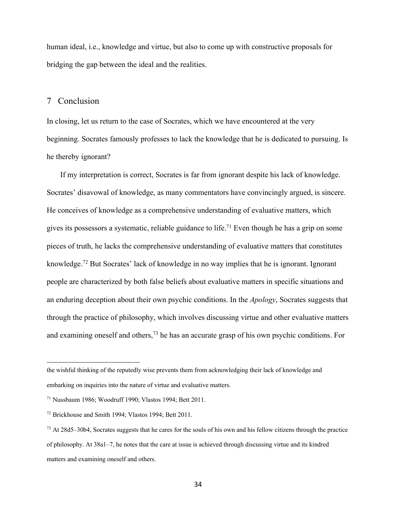human ideal, i.e., knowledge and virtue, but also to come up with constructive proposals for bridging the gap between the ideal and the realities.

#### 7 Conclusion

In closing, let us return to the case of Socrates, which we have encountered at the very beginning. Socrates famously professes to lack the knowledge that he is dedicated to pursuing. Is he thereby ignorant?

 If my interpretation is correct, Socrates is far from ignorant despite his lack of knowledge. Socrates' disavowal of knowledge, as many commentators have convincingly argued, is sincere. He conceives of knowledge as a comprehensive understanding of evaluative matters, which gives its possessors a systematic, reliable guidance to life.<sup>71</sup> Even though he has a grip on some pieces of truth, he lacks the comprehensive understanding of evaluative matters that constitutes knowledge.<sup>72</sup> But Socrates' lack of knowledge in no way implies that he is ignorant. Ignorant people are characterized by both false beliefs about evaluative matters in specific situations and an enduring deception about their own psychic conditions. In the *Apology*, Socrates suggests that through the practice of philosophy, which involves discussing virtue and other evaluative matters and examining oneself and others,<sup>73</sup> he has an accurate grasp of his own psychic conditions. For

the wishful thinking of the reputedly wise prevents them from acknowledging their lack of knowledge and embarking on inquiries into the nature of virtue and evaluative matters.

<sup>71</sup> Nussbaum 1986; Woodruff 1990; Vlastos 1994; Bett 2011.

<sup>72</sup> Brickhouse and Smith 1994; Vlastos 1994; Bett 2011.

<sup>73</sup> At 28d5–30b4, Socrates suggests that he cares for the souls of his own and his fellow citizens through the practice of philosophy. At 38a1–7, he notes that the care at issue is achieved through discussing virtue and its kindred matters and examining oneself and others.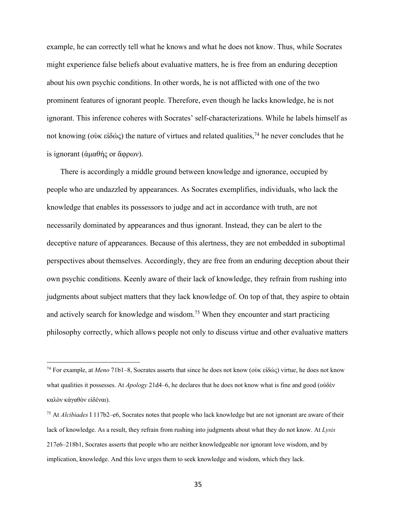example, he can correctly tell what he knows and what he does not know. Thus, while Socrates might experience false beliefs about evaluative matters, he is free from an enduring deception about his own psychic conditions. In other words, he is not afflicted with one of the two prominent features of ignorant people. Therefore, even though he lacks knowledge, he is not ignorant. This inference coheres with Socrates' self-characterizations. While he labels himself as not knowing (οὺκ εἰδώς) the nature of virtues and related qualities,<sup>74</sup> he never concludes that he is ignorant (ἀμαθής or ἄφρων).

 There is accordingly a middle ground between knowledge and ignorance, occupied by people who are undazzled by appearances. As Socrates exemplifies, individuals, who lack the knowledge that enables its possessors to judge and act in accordance with truth, are not necessarily dominated by appearances and thus ignorant. Instead, they can be alert to the deceptive nature of appearances. Because of this alertness, they are not embedded in suboptimal perspectives about themselves. Accordingly, they are free from an enduring deception about their own psychic conditions. Keenly aware of their lack of knowledge, they refrain from rushing into judgments about subject matters that they lack knowledge of. On top of that, they aspire to obtain and actively search for knowledge and wisdom.<sup>75</sup> When they encounter and start practicing philosophy correctly, which allows people not only to discuss virtue and other evaluative matters

<sup>74</sup> For example, at *Meno* 71b1–8, Socrates asserts that since he does not know (οὺκ εἰδώς) virtue, he does not know what qualities it possesses. At *Apology* 21d4–6, he declares that he does not know what is fine and good (οὐδὲν καλὸν κἀγαθὸν εἰδέναι).

<sup>75</sup> At *Alcibiades* I 117b2–e6, Socrates notes that people who lack knowledge but are not ignorant are aware of their lack of knowledge. As a result, they refrain from rushing into judgments about what they do not know. At *Lysis* 217e6–218b1, Socrates asserts that people who are neither knowledgeable nor ignorant love wisdom, and by implication, knowledge. And this love urges them to seek knowledge and wisdom, which they lack.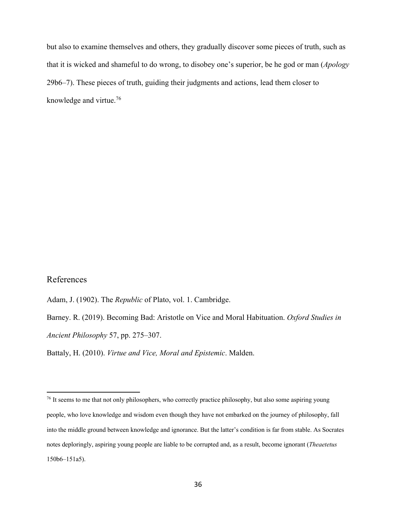but also to examine themselves and others, they gradually discover some pieces of truth, such as that it is wicked and shameful to do wrong, to disobey one's superior, be he god or man (*Apology* 29b6–7). These pieces of truth, guiding their judgments and actions, lead them closer to knowledge and virtue.76

### References

Adam, J. (1902). The *Republic* of Plato, vol. 1. Cambridge.

Barney. R. (2019). Becoming Bad: Aristotle on Vice and Moral Habituation. *Oxford Studies in Ancient Philosophy* 57, pp. 275–307.

Battaly, H. (2010). *Virtue and Vice, Moral and Epistemic*. Malden.

<sup>&</sup>lt;sup>76</sup> It seems to me that not only philosophers, who correctly practice philosophy, but also some aspiring young people, who love knowledge and wisdom even though they have not embarked on the journey of philosophy, fall into the middle ground between knowledge and ignorance. But the latter's condition is far from stable. As Socrates notes deploringly, aspiring young people are liable to be corrupted and, as a result, become ignorant (*Theaetetus* 150b6–151a5).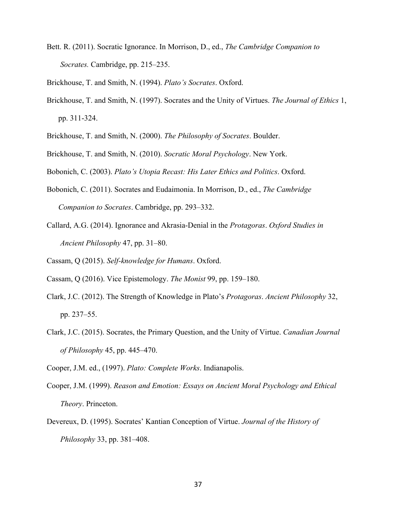Bett. R. (2011). Socratic Ignorance. In Morrison, D., ed., *The Cambridge Companion to Socrates.* Cambridge, pp. 215–235.

Brickhouse, T. and Smith, N. (1994). *Plato's Socrates*. Oxford.

- Brickhouse, T. and Smith, N. (1997). Socrates and the Unity of Virtues. *The Journal of Ethics* 1, pp. 311-324.
- Brickhouse, T. and Smith, N. (2000). *The Philosophy of Socrates*. Boulder.
- Brickhouse, T. and Smith, N. (2010). *Socratic Moral Psychology*. New York.

Bobonich, C. (2003). *Plato's Utopia Recast: His Later Ethics and Politics*. Oxford.

- Bobonich, C. (2011). Socrates and Eudaimonia. In Morrison, D., ed., *The Cambridge Companion to Socrates*. Cambridge, pp. 293–332.
- Callard, A.G. (2014). Ignorance and Akrasia-Denial in the *Protagoras*. *Oxford Studies in Ancient Philosophy* 47, pp. 31–80.

Cassam, Q (2015). *Self-knowledge for Humans*. Oxford.

- Cassam, Q (2016). Vice Epistemology. *The Monist* 99, pp. 159–180.
- Clark, J.C. (2012). The Strength of Knowledge in Plato's *Protagoras*. *Ancient Philosophy* 32, pp. 237–55.
- Clark, J.C. (2015). Socrates, the Primary Question, and the Unity of Virtue. *Canadian Journal of Philosophy* 45, pp. 445–470.

Cooper, J.M. ed., (1997). *Plato: Complete Works*. Indianapolis.

- Cooper, J.M. (1999). *Reason and Emotion: Essays on Ancient Moral Psychology and Ethical Theory*. Princeton.
- Devereux, D. (1995). Socrates' Kantian Conception of Virtue. *Journal of the History of Philosophy* 33, pp. 381–408.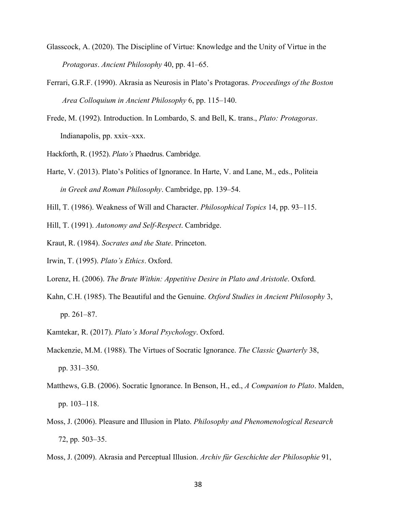- Glasscock, A. (2020). The Discipline of Virtue: Knowledge and the Unity of Virtue in the *Protagoras*. *Ancient Philosophy* 40, pp. 41–65.
- Ferrari, G.R.F. (1990). Akrasia as Neurosis in Plato's Protagoras. *Proceedings of the Boston Area Colloquium in Ancient Philosophy* 6, pp. 115–140.
- Frede, M. (1992). Introduction. In Lombardo, S. and Bell, K. trans., *Plato: Protagoras*. Indianapolis, pp. xxix–xxx.

Hackforth, R. (1952). *Plato's* Phaedrus. Cambridge.

- Harte, V. (2013). Plato's Politics of Ignorance. In Harte, V. and Lane, M., eds., Politeia *in Greek and Roman Philosophy*. Cambridge, pp. 139–54.
- Hill, T. (1986). Weakness of Will and Character. *Philosophical Topics* 14, pp. 93–115.

Hill, T. (1991). *Autonomy and Self-Respect*. Cambridge.

- Kraut, R. (1984). *Socrates and the State*. Princeton.
- Irwin, T. (1995). *Plato's Ethics*. Oxford.
- Lorenz, H. (2006). *The Brute Within: Appetitive Desire in Plato and Aristotle*. Oxford.
- Kahn, C.H. (1985). The Beautiful and the Genuine. *Oxford Studies in Ancient Philosophy* 3, pp. 261–87.
- Kamtekar, R. (2017). *Plato's Moral Psychology*. Oxford.
- Mackenzie, M.M. (1988). The Virtues of Socratic Ignorance. *The Classic Quarterly* 38, pp. 331–350.
- Matthews, G.B. (2006). Socratic Ignorance. In Benson, H., ed., *A Companion to Plato*. Malden, pp. 103–118.
- Moss, J. (2006). Pleasure and Illusion in Plato. *Philosophy and Phenomenological Research* 72, pp. 503–35.
- Moss, J. (2009). Akrasia and Perceptual Illusion. *Archiv für Geschichte der Philosophie* 91,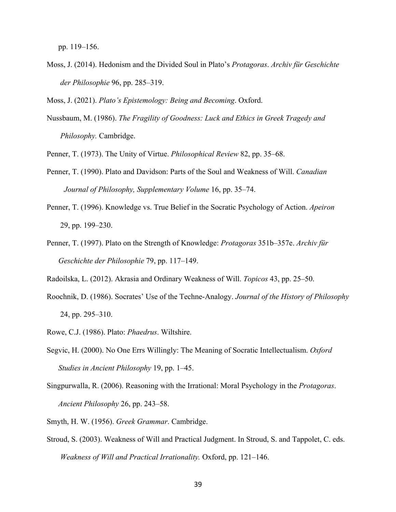pp. 119–156.

Moss, J. (2014). Hedonism and the Divided Soul in Plato's *Protagoras*. *Archiv für Geschichte der Philosophie* 96, pp. 285–319.

Moss, J. (2021). *Plato's Epistemology: Being and Becoming*. Oxford.

Nussbaum, M. (1986). *The Fragility of Goodness: Luck and Ethics in Greek Tragedy and Philosophy.* Cambridge.

Penner, T. (1973). The Unity of Virtue. *Philosophical Review* 82, pp. 35–68.

- Penner, T. (1990). Plato and Davidson: Parts of the Soul and Weakness of Will. *Canadian Journal of Philosophy, Supplementary Volume* 16, pp. 35–74.
- Penner, T. (1996). Knowledge vs. True Belief in the Socratic Psychology of Action. *Apeiron* 29, pp. 199–230.
- Penner, T. (1997). Plato on the Strength of Knowledge: *Protagoras* 351b–357e. *Archiv für Geschichte der Philosophie* 79, pp. 117–149.
- Radoilska, L. (2012). Akrasia and Ordinary Weakness of Will. *Topicos* 43, pp. 25–50.
- Roochnik, D. (1986). Socrates' Use of the Techne-Analogy. *Journal of the History of Philosophy* 24, pp. 295–310.
- Rowe, C.J. (1986). Plato: *Phaedrus*. Wiltshire.
- Segvic, H. (2000). No One Errs Willingly: The Meaning of Socratic Intellectualism. *Oxford Studies in Ancient Philosophy* 19, pp. 1–45.
- Singpurwalla, R. (2006). Reasoning with the Irrational: Moral Psychology in the *Protagoras*. *Ancient Philosophy* 26, pp. 243–58.
- Smyth, H. W. (1956). *Greek Grammar*. Cambridge.
- Stroud, S. (2003). Weakness of Will and Practical Judgment. In Stroud, S. and Tappolet, C. eds. *Weakness of Will and Practical Irrationality.* Oxford, pp. 121–146.